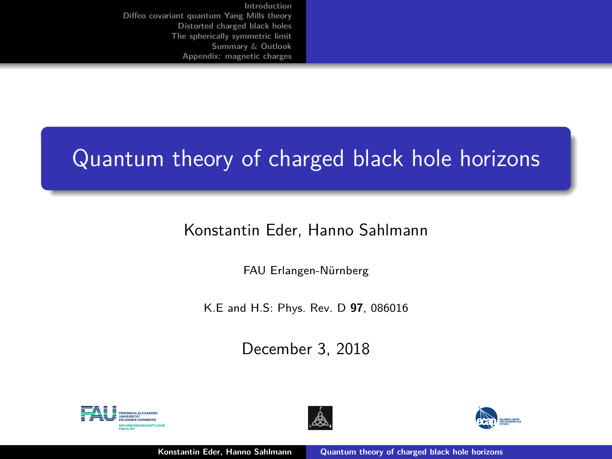# <span id="page-0-0"></span>Quantum theory of charged black hole horizons

## Konstantin Eder, Hanno Sahlmann

FAU Erlangen-Nürnberg

K.E and H.S: Phys. Rev. D **97**, 086016

December 3, 2018





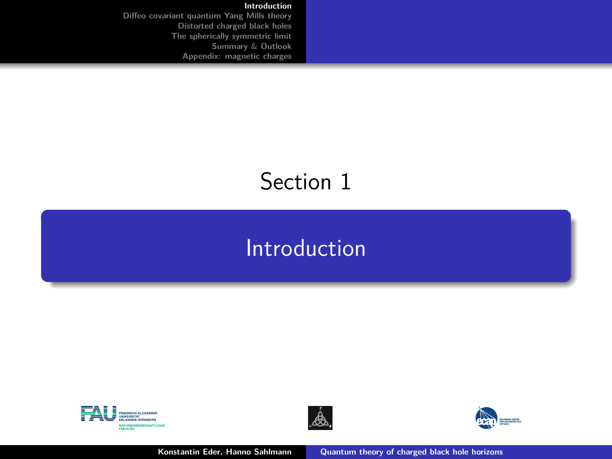#### **[Introduction](#page-1-0)**

<span id="page-1-0"></span>**[Diffeo covariant quantum Yang Mills theory](#page-5-0) [Distorted charged black holes](#page-11-0) [The spherically symmetric limit](#page-28-0) [Summary](#page-33-0)** & **Outlook [Appendix: magnetic charges](#page-37-0)**

# Section 1

# [Introduction](#page-1-0)





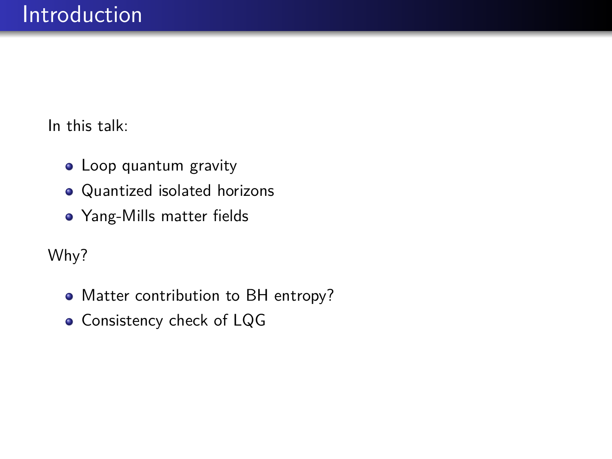In this talk:

- Loop quantum gravity
- Quantized isolated horizons
- Yang-Mills matter fields

Why?

- Matter contribution to BH entropy?
- **Consistency check of LQG**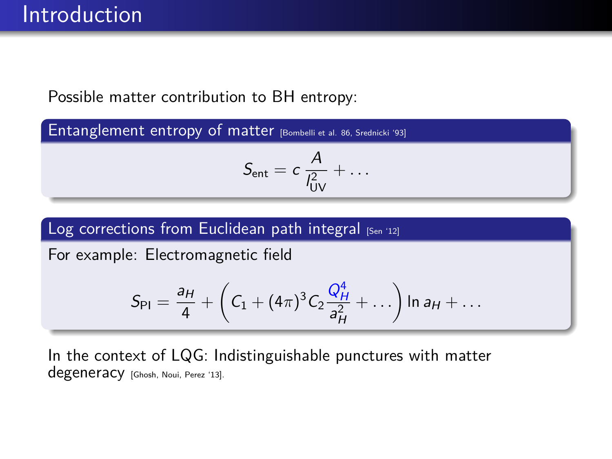## Possible matter contribution to BH entropy:

Entanglement entropy of matter [Bombelli et al. 86, Srednicki '93]

$$
S_{\text{ent}} = c \frac{A}{l_{\text{UV}}^2} + \dots
$$

## Log corrections from Euclidean path integral  $[s_{en} 12]$

For example: Electromagnetic field

$$
S_{\text{PI}} = \frac{a_H}{4} + \left(C_1 + (4\pi)^3 C_2 \frac{Q_H^4}{a_H^2} + \ldots\right) \ln a_H + \ldots
$$

In the context of LQG: Indistinguishable punctures with matter degeneracy [Ghosh, Noui, Perez '13].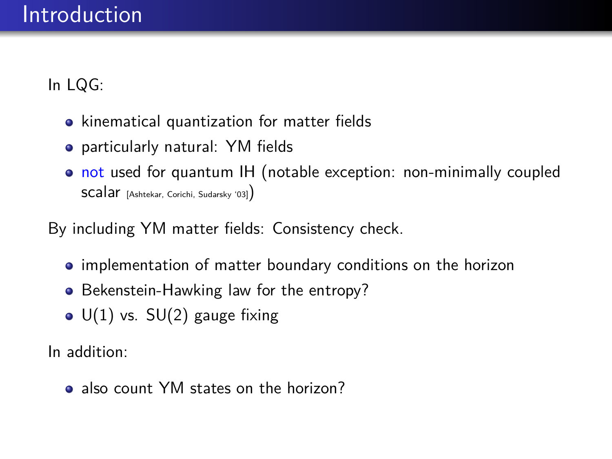In LQG:

- kinematical quantization for matter fields
- particularly natural: YM fields
- not used for quantum IH (notable exception: non-minimally coupled scalar [Ashtekar, Corichi, Sudarsky '03])

By including YM matter fields: Consistency check.

- implementation of matter boundary conditions on the horizon
- Bekenstein-Hawking law for the entropy?
- $\bullet$  U(1) vs. SU(2) gauge fixing

In addition:

• also count YM states on the horizon?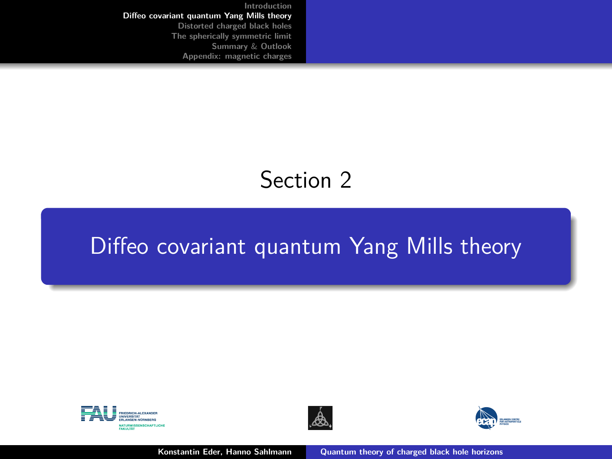# Section 2

# <span id="page-5-0"></span>[Diffeo covariant quantum Yang Mills theory](#page-5-0)





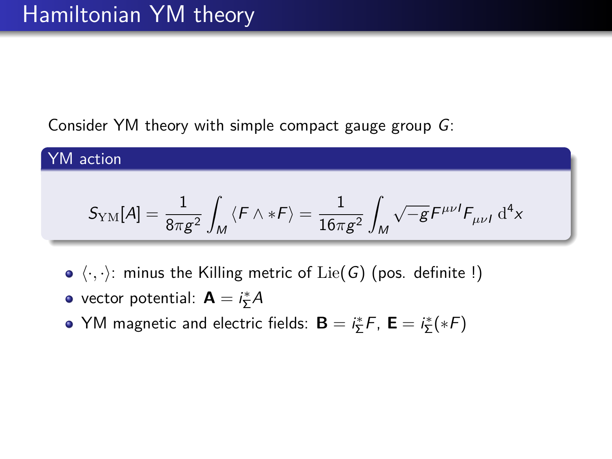Consider YM theory with simple compact gauge group G:

YM action

$$
\mathcal{S}_\text{YM}[A] = \frac{1}{8\pi g^2}\int_M \left\langle F\wedge *F\right\rangle = \frac{1}{16\pi g^2}\int_M \sqrt{-g} F^{\mu\nu I} F_{\mu\nu I} \; \mathrm{d}^4x
$$

- $\bullet$   $\langle \cdot, \cdot \rangle$ : minus the Killing metric of Lie(G) (pos. definite !)
- vector potential:  $\mathbf{A} = i_{\Sigma}^{*} A$
- YM magnetic and electric fields:  $\mathbf{B} = i\frac{*}{2}F$ ,  $\mathbf{E} = i\frac{*}{2}(*F)$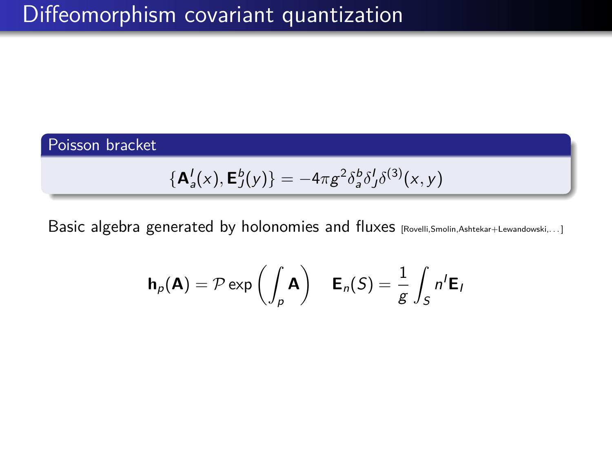## Poisson bracket

$$
\{\mathbf A_a^I(x), \mathbf E_J^b(y)\} = -4\pi g^2 \delta_a^b \delta_J^I \delta^{(3)}(x, y)
$$

Basic algebra generated by holonomies and fluxes [Rovelli,Smolin,Ashtekar+Lewandowski,...]

$$
\mathbf{h}_{p}(\mathbf{A}) = \mathcal{P} \exp\left(\int_{p} \mathbf{A}\right) \quad \mathbf{E}_{n}(S) = \frac{1}{g} \int_{S} n^{t} \mathbf{E}_{n}
$$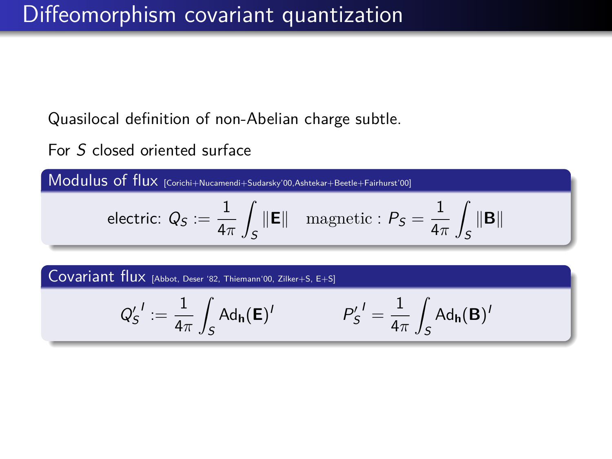Quasilocal definition of non-Abelian charge subtle.

For S closed oriented surface

Modulus of flux [Corichi+Nucamendi+Sudarsky'00,Ashtekar+Beetle+Fairhurst'00]

electric: 
$$
Q_S := \frac{1}{4\pi} \int_S \|\mathbf{E}\|
$$
 magnetic:  $P_S = \frac{1}{4\pi} \int_S \|\mathbf{B}\|$ 

Covariant flux [Abbot, Deser '82, Thiemann'00, Zilker+S, E+S]

$$
Q_S^{\prime \; \prime} := \frac{1}{4\pi} \int_S \mathsf{Ad}_\mathsf{h}(\mathsf{E})^{\prime} \qquad \qquad P_S^{\prime \; \prime} = \frac{1}{4\pi} \int_S \mathsf{Ad}_\mathsf{h}(\mathsf{B})^{\prime}
$$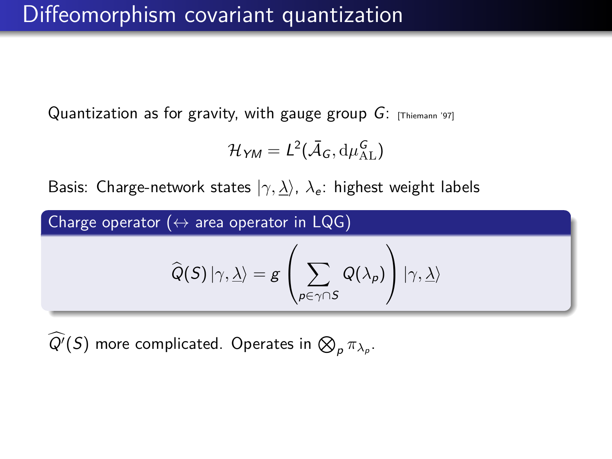# Diffeomorphism covariant quantization

Quantization as for gravity, with gauge group  $G$ : [Thiemann '97]

$$
\mathcal{H}_{YM} = L^2(\bar{\mathcal{A}}_G, \mathrm{d}\mu^G_{\mathrm{AL}})
$$

Basis: Charge-network states  $|\gamma, \underline{\lambda}\rangle$ ,  $\lambda_e$ : highest weight labels

Charge operator ( $\leftrightarrow$  area operator in LQG)

$$
\widehat{Q}(S)\left|\gamma,\underline{\lambda}\right\rangle =g\left(\sum_{\rho\in\gamma\cap S}Q(\lambda_{\rho})\right)\left|\gamma,\underline{\lambda}\right\rangle
$$

 $Q'(S)$  more complicated. Operates in  $\bigotimes_{p} \pi_{\lambda_{p}}$ .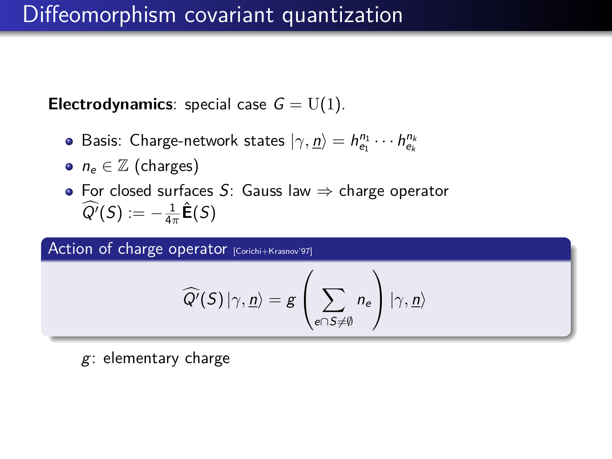## Diffeomorphism covariant quantization

**Electrodynamics**: special case  $G = U(1)$ .

- Basis: Charge-network states  $|\gamma, \underline{n}\rangle = h_{{e_1}}^{n_1} \cdots h_{{e_k}}^{n_k}$
- $n_e \in \mathbb{Z}$  (charges)
- For closed surfaces S: Gauss law  $\Rightarrow$  charge operator  $\widehat{Q'}(S) := -\frac{1}{4\pi}\widehat{\mathsf{E}}(S)$

Action of charge operator [Corichi+Krasnov'97]

$$
\widehat{Q'}(S)\ket{\gamma,\underline{n}}=g\left(\sum_{e\cap S\neq\emptyset}n_e\right)\ket{\gamma,\underline{n}}
$$

g: elementary charge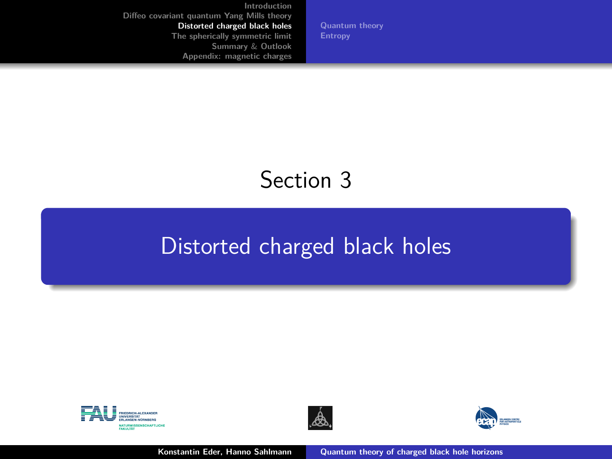**[Quantum theory](#page-16-0)**

# Section 3

## <span id="page-11-0"></span>[Distorted charged black holes](#page-11-0)





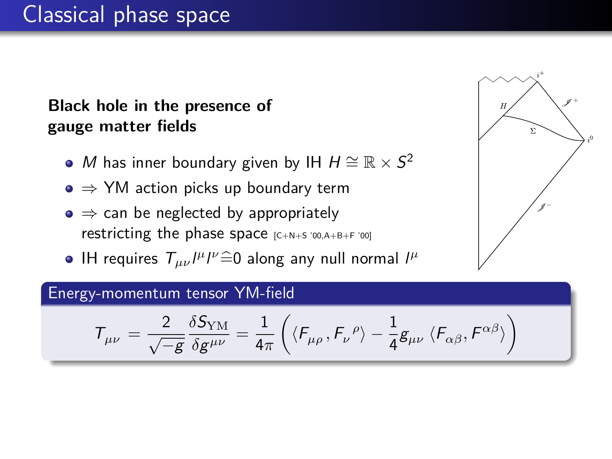# Classical phase space

## **Black hole in the presence of gauge matter fields**

- M has inner boundary given by IH  $H \cong \mathbb{R} \times S^2$
- $\bullet \Rightarrow$  YM action picks up boundary term
- $\bullet \Rightarrow$  can be neglected by appropriately restricting the phase space  $[C+N+S 700, A+B+F 700]$
- IH requires  $T_{\mu\nu}I^{\mu}I^{\nu} \widehat{=} 0$  along any null normal  $I^{\mu}$

#### Energy-momentum tensor YM-field

$$
\mathcal{T}_{\mu\nu}\,=\frac{2}{\sqrt{-g}}\frac{\delta S_{\rm YM}}{\delta g^{\mu\nu}}=\frac{1}{4\pi}\left(\langle F_{\mu\rho}\,,F_{\nu}^{\phantom{\nu}\rho}\rangle-\frac{1}{4}g_{\mu\nu}\,\langle F_{\alpha\beta},F^{\alpha\beta}\rangle\right)
$$

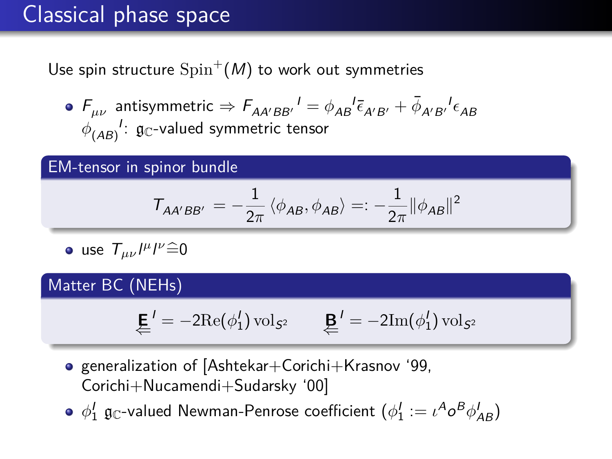# Classical phase space

Use spin structure  $\mathrm{Spin}^+(M)$  to work out symmetries

 $F_{\mu\nu}$  antisymmetric  $\Rightarrow$   $F_{AA'BB'}{}^{I}$   $=$   $\phi_{AB}{}^{I}\bar{\epsilon}_{A'B'}$   $+$   $\bar{\phi}_{A'B'}{}^{I}\epsilon_{AB}$  $\phi_{(AB)}^{\phantom{(A)}!}$ :  $\mathfrak{g}_{\mathbb{C}}$ -valued symmetric tensor

#### EM-tensor in spinor bundle

$$
T_{AA'BB'}=-\frac{1}{2\pi}\left\langle \phi_{AB},\phi_{AB}\right\rangle =:-\frac{1}{2\pi}\|\phi_{AB}\|^2
$$

 $\int \frac{1}{\mu} \int^{\mu} \mu = 0$ 

## Matter BC (NEHs)

$$
\underleftarrow{\textbf{E}}' = -2\mathrm{Re}(\phi_1')\,\mathrm{vol}_{\mathcal{S}^2} \qquad \underleftarrow{\textbf{B}}' = -2\mathrm{Im}(\phi_1')\,\mathrm{vol}_{\mathcal{S}^2}
$$

**•** generalization of [Ashtekar+Corichi+Krasnov '99, Corichi+Nucamendi+Sudarsky '00]

 $\phi^I_1$  g<sub>C</sub>-valued Newman-Penrose coefficient ( $\phi^I_1:=\iota^A o^B \phi^I_{AB}$ )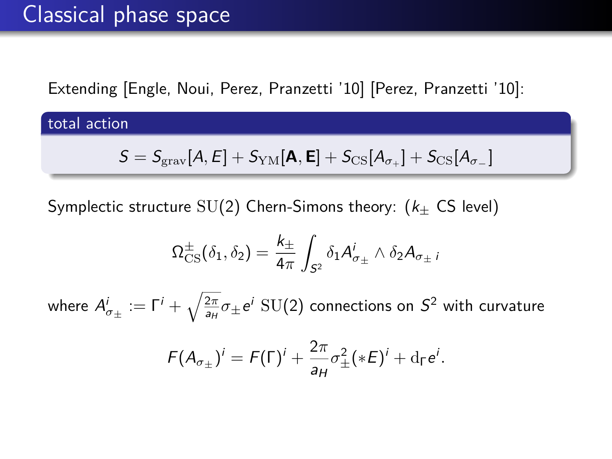Extending [Engle, Noui, Perez, Pranzetti '10] [Perez, Pranzetti '10]:

total action

$$
S = S_{\rm grav}[A, E] + S_{\rm YM}[\mathbf{A}, \mathbf{E}] + S_{\rm CS}[A_{\sigma_{+}}] + S_{\rm CS}[A_{\sigma_{-}}]
$$

Symplectic structure  $SU(2)$  Chern-Simons theory: ( $k_{\pm}$  CS level)

$$
\Omega_{\text{CS}}^{\pm}(\delta_1,\delta_2)=\frac{k_{\pm}}{4\pi}\int_{S^2}\delta_1A_{\sigma_{\pm}}^i\wedge \delta_2A_{\sigma_{\pm}}i
$$

where  $A^i_{\sigma_\pm}:=\Gamma^i+\sqrt{\frac{2\pi}{a_H}}\sigma_\pm e^i\,$  SU(2) connections on  $S^2$  with curvature

$$
F(A_{\sigma_{\pm}})^i = F(\Gamma)^i + \frac{2\pi}{a_H}\sigma_{\pm}^2(*E)^i + d_{\Gamma}e^i.
$$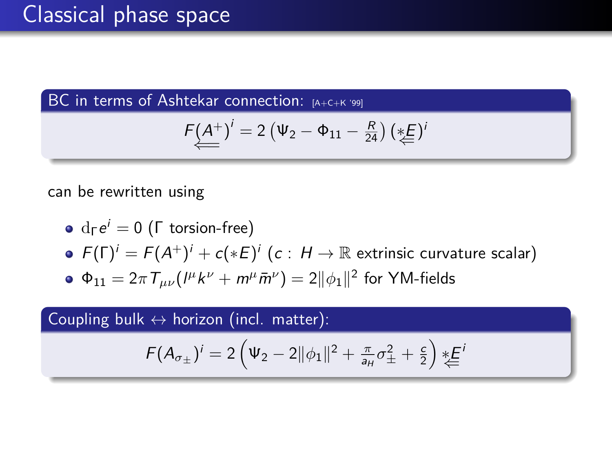BC in terms of Ashtekar connection: [A+C+K '99]

$$
F(\underline{A}^+)^i = 2(\Psi_2 - \Phi_{11} - \frac{R}{24})\left(\underset{\leftarrow}{*}E\right)^i
$$

can be rewritten using

\n- $$
d_{\Gamma}e^i = 0
$$
 (F torsion-free)
\n- $F(\Gamma)^i = F(A^+)^i + c(*E)^i$  (c :  $H \to \mathbb{R}$  extrinsic curvature scalar)
\n- $\Phi_{11} = 2\pi T_{\mu\nu}(I^{\mu}k^{\nu} + m^{\mu}\bar{m}^{\nu}) = 2||\phi_1||^2$  for YM-fields
\n

Coupling bulk  $\leftrightarrow$  horizon (incl. matter):

$$
F(A_{\sigma_{\pm}})^{i}=2\left(\Psi_{2}-2\|\phi_{1}\|^{2}+\frac{\pi}{a_{H}}\sigma_{\pm}^{2}+\frac{c}{2}\right)\ast\leq
$$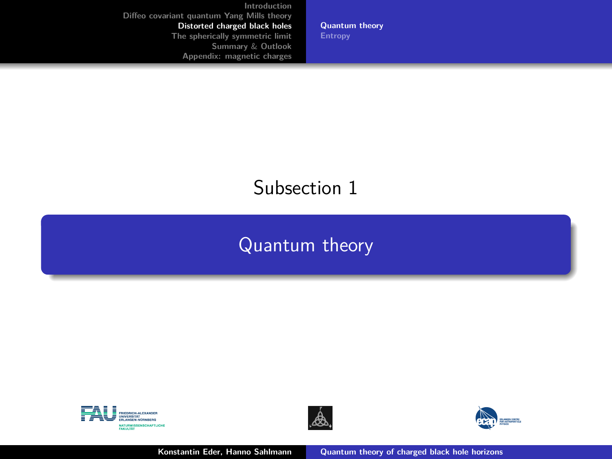**[Quantum theory](#page-16-0)**

## <span id="page-16-0"></span>Subsection 1

## [Quantum theory](#page-16-0)





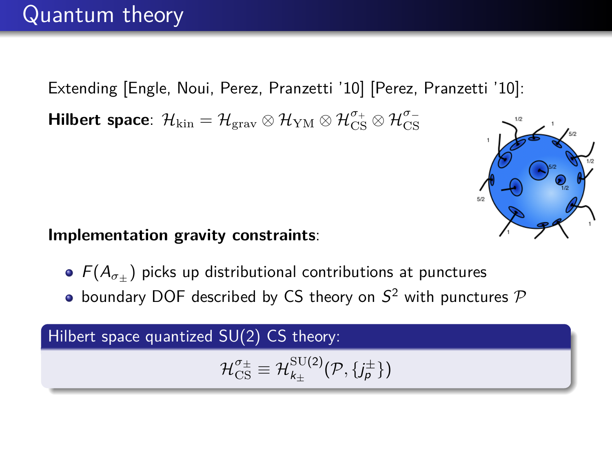Extending [Engle, Noui, Perez, Pranzetti '10] [Perez, Pranzetti '10]:  ${\sf Hilbert\ space}\colon\, {\cal H}_{\rm kin}={\cal H}_{\rm grav}\otimes{\cal H}_{\rm YM}\otimes{\cal H}_{\rm CS}^{\sigma_+}\otimes{\cal H}_{\rm CS}^{\sigma_-}$ 



#### **Implementation gravity constraints**:

- $\bullet$   $F(A_{\sigma+})$  picks up distributional contributions at punctures
- boundary DOF described by CS theory on  $S^2$  with punctures  $\mathcal P$

## Hilbert space quantized SU(2) CS theory:

$$
\mathcal{H}_{\text{CS}}^{\sigma_{\pm}}\equiv\mathcal{H}_{k_{\pm}}^{\text{SU(2)}}(\mathcal{P},\{j_{\rho}^{\pm}\})
$$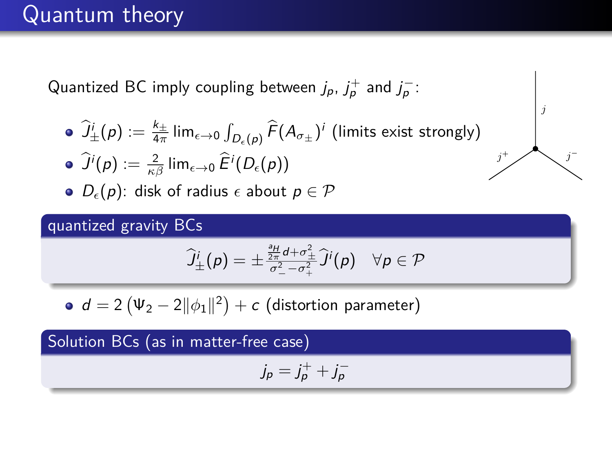# Quantum theory

Quantized BC imply coupling between  $j_p$ ,  $j_p^+$  and  $j_p^-$ :

 $\widehat{J^i_{\pm}}(\rho):=\frac{k_{\pm}}{4\pi}\lim_{\epsilon\to 0}\int_{D_{\epsilon}(\rho)}\widehat{F}(A_{\sigma_{\pm}})^i$  (limits exist strongly)

$$
\bullet \; \widehat{J}^i(p) := \tfrac{2}{\kappa \beta} \lim_{\epsilon \to 0} \widehat{E}^i(D_{\epsilon}(p))
$$

 $\bullet$   $D_{\epsilon}(p)$ : disk of radius  $\epsilon$  about  $p \in \mathcal{P}$ 

#### quantized gravity BCs

$$
\widehat{J}_{\pm}^i(p) = \pm \frac{\frac{2H}{2\pi}d + \sigma_{\pm}^2}{\sigma_{-}^2 - \sigma_{+}^2} \widehat{J}^i(p) \quad \forall p \in \mathcal{P}
$$

 $d=2\left(\Psi_{2}-2\|\phi_{1}\|^{2}\right)+c$  (distortion parameter)

Solution BCs (as in matter-free case)

$$
j_p = j_p^+ + j_p^-
$$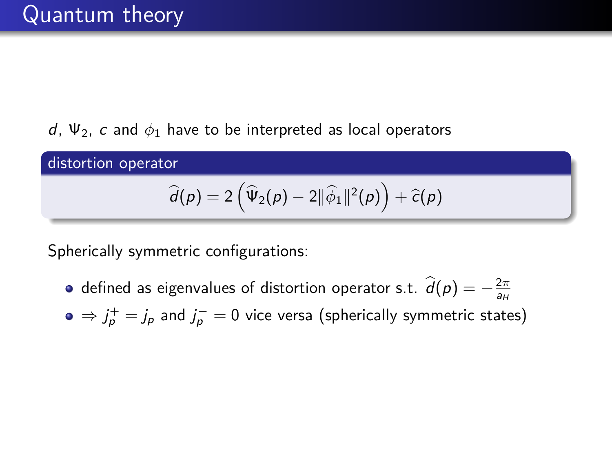## d,  $\Psi_2$ , c and  $\phi_1$  have to be interpreted as local operators

distortion operator

$$
\widehat{d}(p) = 2(\widehat{\Psi}_2(p) - 2||\widehat{\phi}_1||^2(p)) + \widehat{c}(p)
$$

Spherically symmetric configurations:

- defined as eigenvalues of distortion operator s.t.  $\hat{d}(p) = -\frac{2\pi}{a_H}$
- $\Rightarrow j^+_p = j_p$  and  $j^-_p = 0$  vice versa (spherically symmetric states)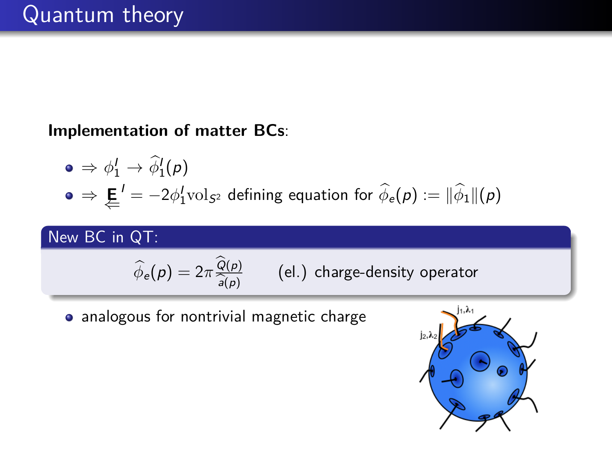**Implementation of matter BCs**:

$$
\begin{array}{ll}\n\bullet \Rightarrow \phi_1' \to \widehat{\phi}_1'(\rho) \\
\bullet \Rightarrow \underleftarrow{\mathbf{E}}' = -2\phi_1' \text{vol}_{S^2} \text{ defining equation for } \widehat{\phi}_e(\rho) := \|\widehat{\phi}_1\|(\rho)\n\end{array}
$$

New BC in QT:

$$
\widehat{\phi}_e(\rho) = 2\pi \frac{\widehat{Q}(\rho)}{\widehat{a}(\rho)}
$$
 (el.) charge-density operator

analogous for nontrivial magnetic charge

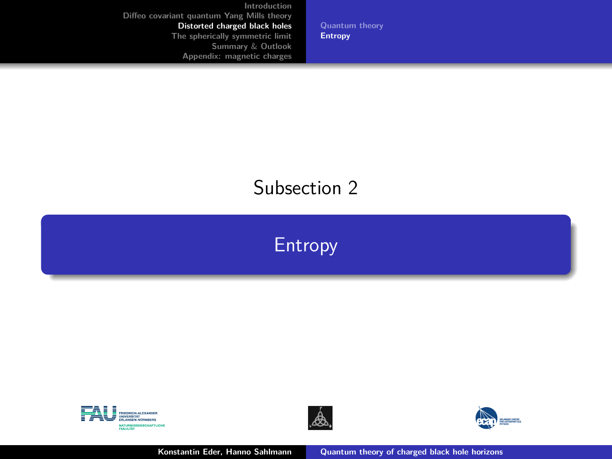**[Quantum theory](#page-16-0) [Entropy](#page-21-0)**

## <span id="page-21-0"></span>Subsection 2







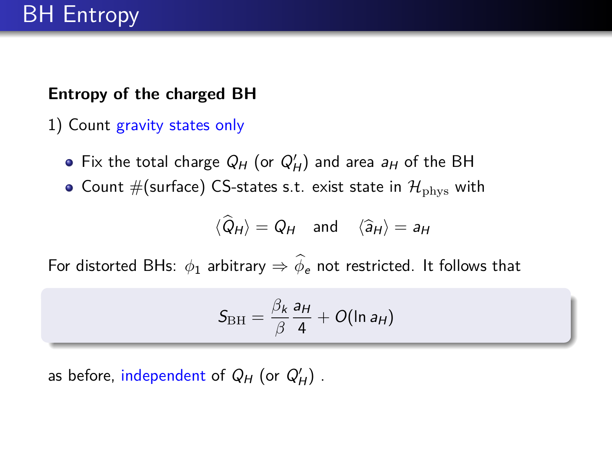## **Entropy of the charged BH**

- 1) Count gravity states only
	- Fix the total charge  $Q_H$  (or  $Q'_H$ ) and area  $a_H$  of the BH
	- Count #(surface) CS-states s.t. exist state in  $\mathcal{H}_{\text{phys}}$  with

$$
\langle \hat{Q}_H \rangle = Q_H
$$
 and  $\langle \hat{a}_H \rangle = a_H$ 

For distorted BHs:  $\phi_1$  arbitrary  $\Rightarrow$   $\widehat{\phi}_e$  not restricted. It follows that

$$
S_{\rm BH}=\frac{\beta_k}{\beta}\frac{a_H}{4}+O(\ln a_H)
$$

as before, independent of  $Q_H$  (or  $Q'_H$ ).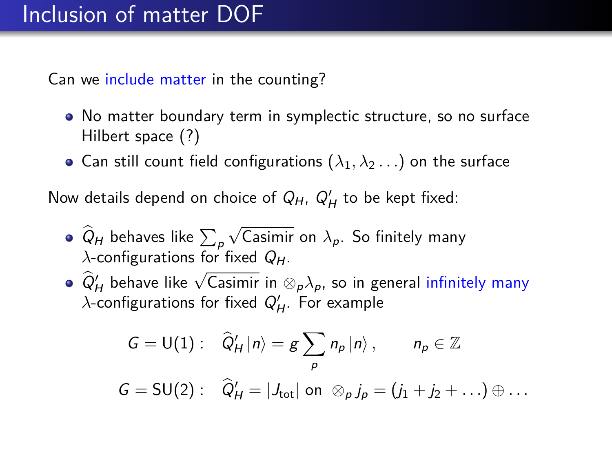Can we include matter in the counting?

- No matter boundary term in symplectic structure, so no surface Hilbert space (?)
- Can still count field configurations  $(\lambda_1, \lambda_2 \dots)$  on the surface

Now details depend on choice of  $Q_H$ ,  $Q'_H$  to be kept fixed:

- $Q_H$  behaves like  $\sum_{\rho}$ √ Casimir on  $\lambda_p$ . So finitely many  $\lambda$ -configurations for fixed  $Q_H$ .
- $\hat{Q}'_H$  behave like  $\sqrt{\text{Casimir}}$  in  $\otimes_p \lambda_p$ , so in general infinitely many  $\lambda$ -configurations for fixed  $Q'_H$ . For example

$$
G = U(1): \quad \widehat{Q}'_H |_{\underline{n}} = g \sum_p n_p |_{\underline{n}} \rangle, \qquad n_p \in \mathbb{Z}
$$
  

$$
G = SU(2): \quad \widehat{Q}'_H = |J_{\text{tot}}| \text{ on } \otimes_p j_p = (j_1 + j_2 + \ldots) \oplus \ldots
$$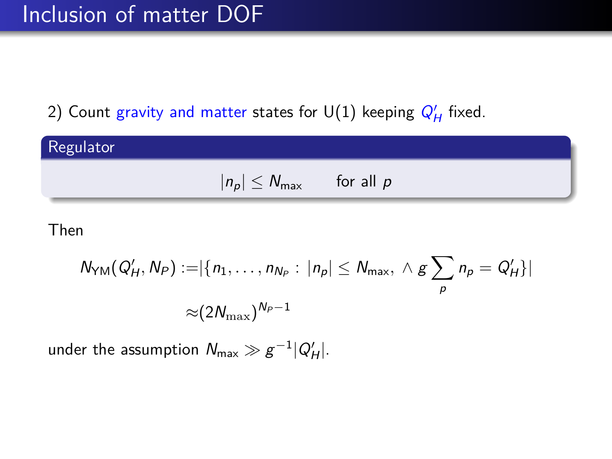## Inclusion of matter DOF

## 2) Count gravity and matter states for  $\mathsf{U}(1)$  keeping  $Q'_H$  fixed.



#### Then

$$
N_{\text{YM}}(Q'_H, N_P) := |\{n_1, \ldots, n_{N_P} : |n_p| \le N_{\text{max}}, \land g \sum_p n_p = Q'_H\}|
$$
  

$$
\approx (2N_{\text{max}})^{N_P - 1}
$$

under the assumption  $\mathcal{N}_{\mathsf{max}} \gg g^{-1} |Q'_{H}|.$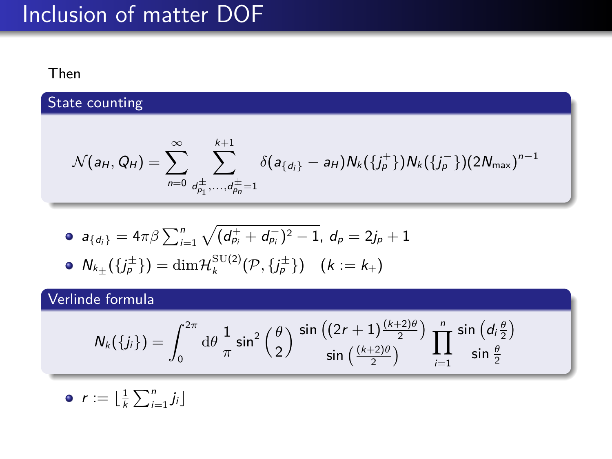# Inclusion of matter DOF

#### Then

State counting

$$
\mathcal{N}(a_{H}, Q_{H}) = \sum_{n=0}^{\infty} \sum_{d_{p_1}^{\pm}, \ldots, d_{p_n}^{\pm} = 1}^{k+1} \delta(a_{\{d_i\}} - a_{H}) N_k(\{j_p^+\}) N_k(\{j_p^-\}) (2N_{\text{max}})^{n-1}
$$

• 
$$
a_{\{d_i\}} = 4\pi\beta \sum_{i=1}^n \sqrt{(d_{p_i}^+ + d_{p_i}^-)^2 - 1}, d_p = 2j_p + 1
$$

$$
\bullet \ \mathsf{N}_{k_{\pm}}(\lbrace j^{\pm}_p\rbrace)=\dim \mathcal{H}_k^{\mathrm{SU}(2)}(\mathcal{P},\lbrace j^{\pm}_p\rbrace) \quad (k:=k_+)
$$

## Verlinde formula

$$
N_k(\lbrace j_i \rbrace)=\int_0^{2\pi}\mathrm{d}\theta\, \frac{1}{\pi}\sin^2\left(\frac{\theta}{2}\right)\frac{\sin\left((2r+1)\frac{(k+2)\theta}{2}\right)}{\sin\left(\frac{(k+2)\theta}{2}\right)}\,\prod_{i=1}^n\frac{\sin\left(d_i\frac{\theta}{2}\right)}{\sin\frac{\theta}{2}}
$$

$$
\bullet \ \ r := \lfloor \frac{1}{k} \sum_{i=1}^n j_i \rfloor
$$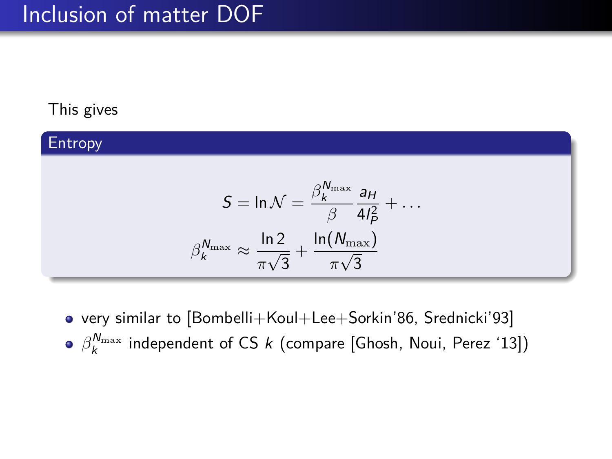## Inclusion of matter DOF

## This gives

#### Entropy  $\mathcal{S} = \ln \mathcal{N} = \frac{\beta_k^{N_{\max}}}{\beta}$ *β* aH  $4I_P^2$  $+ \dots$  $\beta_k^{N_{\max}} \approx \frac{\ln 2}{\pi k^2}$ *π* √  $\frac{2}{3}+\frac{\ln(N_{\max})}{\pi\sqrt{3}}$ *π* √ 3

very similar to [Bombelli+Koul+Lee+Sorkin'86, Srednicki'93]  $\beta_k^{N_{\text{max}}}$  independent of CS  $k$  (compare [Ghosh, Noui, Perez '13])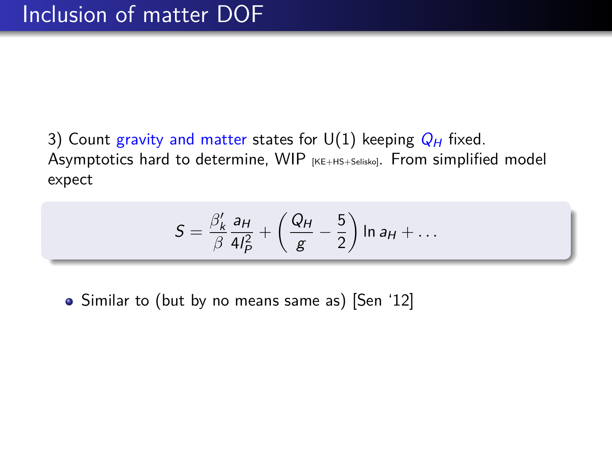3) Count gravity and matter states for  $U(1)$  keeping  $Q_H$  fixed. Asymptotics hard to determine, WIP [KE+HS+Selisko]. From simplified model expect

$$
S = \frac{\beta'_k}{\beta} \frac{a_H}{4l_P^2} + \left(\frac{Q_H}{g} - \frac{5}{2}\right) \ln a_H + \dots
$$

• Similar to (but by no means same as) [Sen '12]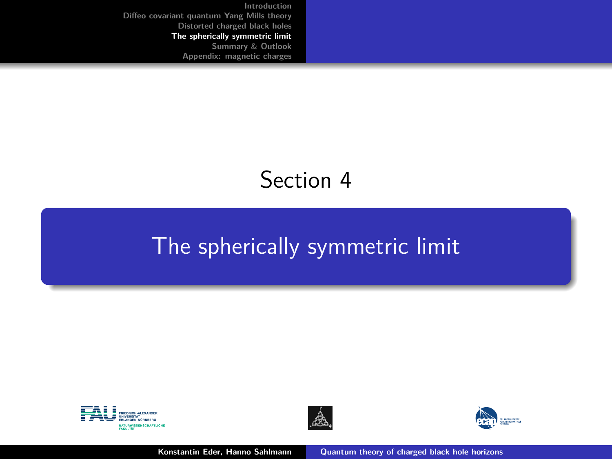# Section 4

# <span id="page-28-0"></span>[The spherically symmetric limit](#page-28-0)







**Konstantin Eder, Hanno Sahlmann [Quantum theory of charged black hole horizons](#page-0-0)**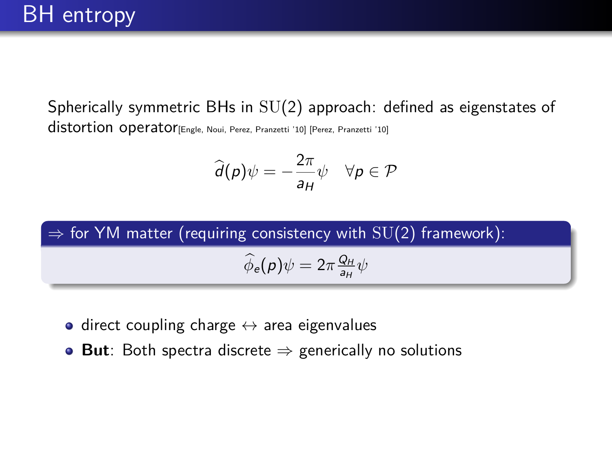Spherically symmetric BHs in SU(2) approach: defined as eigenstates of distortion operator<sub>[Engle, Noui, Perez, Pranzetti '10] [Perez, Pranzetti '10]</sub>

$$
\widehat{d}(p)\psi = -\frac{2\pi}{a_H}\psi \quad \forall p \in \mathcal{P}
$$



- $\bullet$  direct coupling charge  $\leftrightarrow$  area eigenvalues
- **But**: Both spectra discrete ⇒ generically no solutions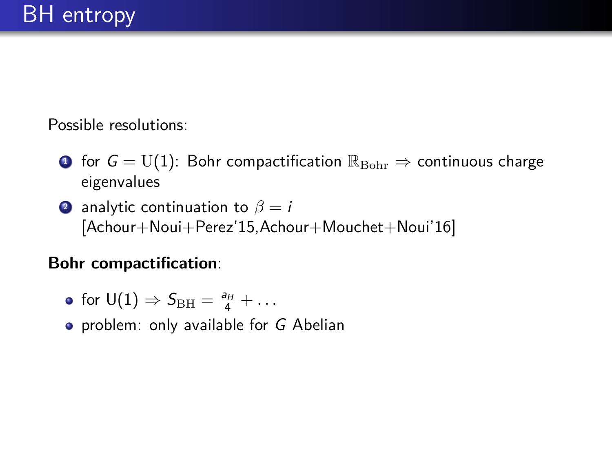Possible resolutions:

- **1** for  $G = U(1)$ : Bohr compactification  $\mathbb{R}_{\text{Bohr}} \Rightarrow$  continuous charge eigenvalues
- **2** analytic continuation to  $\beta = i$ [Achour+Noui+Perez'15,Achour+Mouchet+Noui'16]

## **Bohr compactification**:

- for  $U(1) \Rightarrow S_{\text{BH}} = \frac{a_H}{4} + \dots$
- **•** problem: only available for G Abelian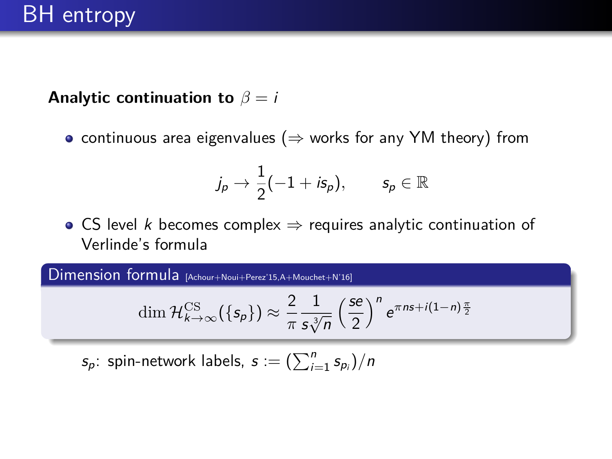**Analytic continuation to**  $\beta = i$ 

• continuous area eigenvalues ( $\Rightarrow$  works for any YM theory) from

$$
j_{\rho}\rightarrow \frac{1}{2}(-1+i\mathsf{s}_{\rho}), \qquad \mathsf{s}_{\rho}\in\mathbb{R}
$$

• CS level *k* becomes complex  $\Rightarrow$  requires analytic continuation of Verlinde's formula

Dimension formula [Achour+Noui+Perez'15,A+Mouchet+N'16]

$$
\dim\mathcal{H}^{\mathrm{CS}}_{k\to\infty}(\{s_p\})\approx\frac{2}{\pi}\frac{1}{s\sqrt[3]{n}}\left(\frac{s e}{2}\right)^n e^{\pi n s+i(1-n)\frac{\pi}{2}}
$$

 $s_p$ : spin-network labels,  $s := (\sum_{i=1}^n s_{p_i})/n$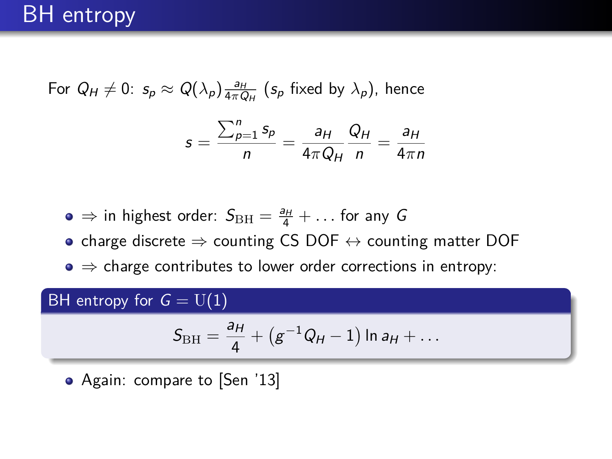For  $Q_H \neq 0$ :  $s_p \approx Q(\lambda_p) \frac{a_H}{4\pi Q_H}$  ( $s_p$  fixed by  $\lambda_p$ ), hence

$$
s = \frac{\sum_{p=1}^{n} s_p}{n} = \frac{a_H}{4\pi Q_H} \frac{Q_H}{n} = \frac{a_H}{4\pi n}
$$

 $\Rightarrow$  in highest order:  $S_{\text{BH}} = \frac{a_H}{4} + \dots$  for any G

- charge discrete  $\Rightarrow$  counting CS DOF  $\leftrightarrow$  counting matter DOF
- $\bullet \Rightarrow$  charge contributes to lower order corrections in entropy:

## BH entropy for  $G = U(1)$

$$
S_{\rm BH} = \frac{a_H}{4} + (g^{-1}Q_H - 1) \ln a_H + \dots
$$

• Again: compare to [Sen '13]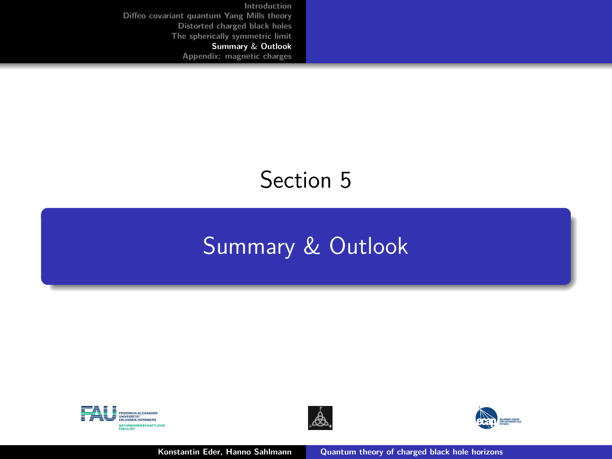# <span id="page-33-0"></span>Section 5

# [Summary](#page-33-0) & Outlook







**Konstantin Eder, Hanno Sahlmann [Quantum theory of charged black hole horizons](#page-0-0)**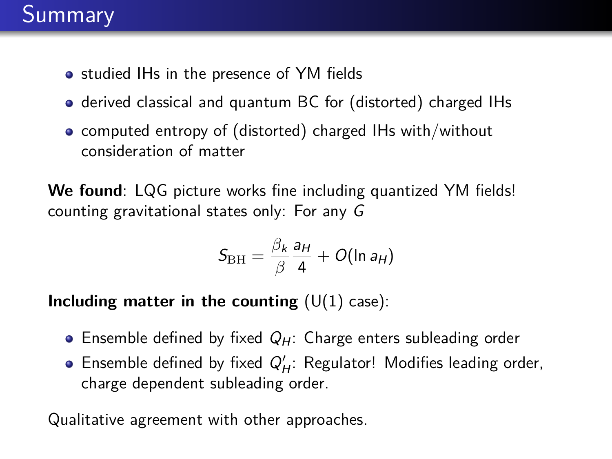# Summary

- **•** studied IHs in the presence of YM fields
- derived classical and quantum BC for (distorted) charged IHs
- computed entropy of (distorted) charged IHs with/without consideration of matter

**We found**: LQG picture works fine including quantized YM fields! counting gravitational states only: For any G

$$
S_{\rm BH}=\frac{\beta_k}{\beta}\frac{a_H}{4}+O(\ln a_H)
$$

**Including matter in the counting**  $(U(1)$  case):

- **Ensemble defined by fixed**  $Q_H$ **: Charge enters subleading order**
- Ensemble defined by fixed  $Q'_H$ : Regulator! Modifies leading order, charge dependent subleading order.

Qualitative agreement with other approaches.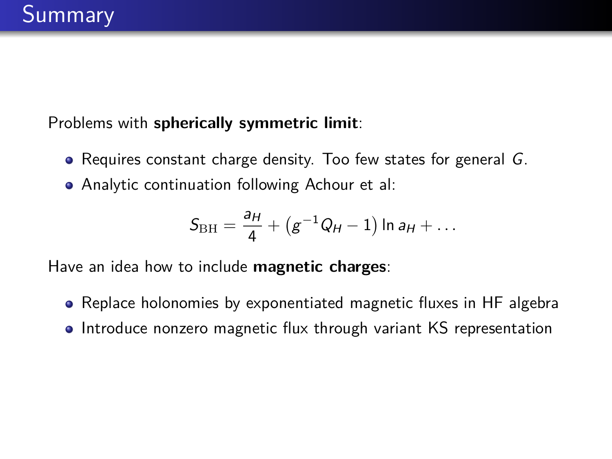Problems with **spherically symmetric limit**:

- Requires constant charge density. Too few states for general G.
- Analytic continuation following Achour et al:

$$
S_{\rm BH} = \frac{a_H}{4} + (g^{-1}Q_H - 1) \ln a_H + \dots
$$

Have an idea how to include **magnetic charges**:

- Replace holonomies by exponentiated magnetic fluxes in HF algebra
- Introduce nonzero magnetic flux through variant KS representation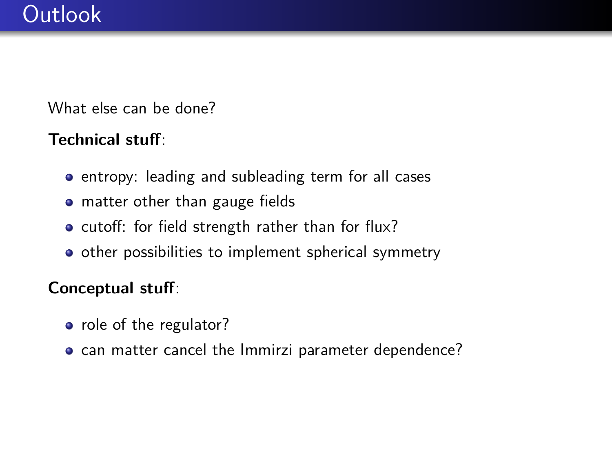What else can be done?

## **Technical stuff**:

- **•** entropy: leading and subleading term for all cases
- matter other than gauge fields
- cutoff: for field strength rather than for flux?
- **•** other possibilities to implement spherical symmetry

## **Conceptual stuff**:

- o role of the regulator?
- can matter cancel the Immirzi parameter dependence?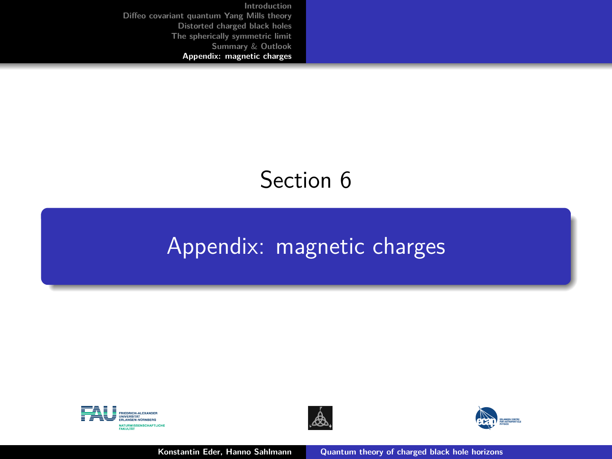# Section 6

# <span id="page-37-0"></span>[Appendix: magnetic charges](#page-37-0)





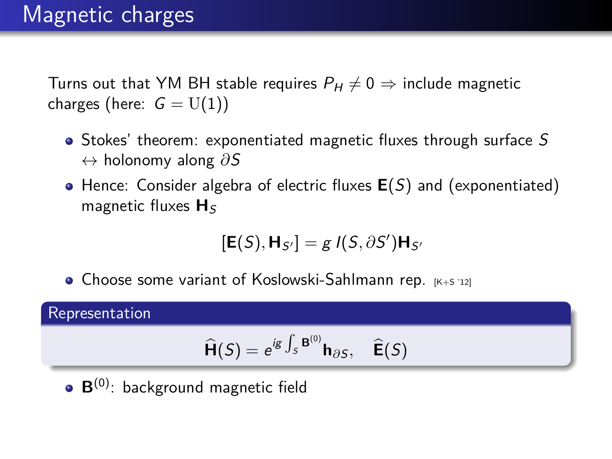# Magnetic charges

Turns out that YM BH stable requires  $P_H \neq 0 \Rightarrow$  include magnetic charges (here:  $G = U(1)$ )

- Stokes' theorem: exponentiated magnetic fluxes through surface S ↔ holonomy along *∂*S
- Hence: Consider algebra of electric fluxes **E**(S) and (exponentiated) magnetic fluxes  $H_S$

$$
[\mathbf{E}(S),\mathbf{H}_{S'}]=gI(S,\partial S')\mathbf{H}_{S'}
$$

 $\bullet$  Choose some variant of Koslowski-Sahlmann rep.  $[K+S]$  12]

#### Representation

$$
\widehat{\mathbf{H}}(S) = e^{ig \int_S \mathbf{B}^{(0)}} \mathbf{h}_{\partial S}, \quad \widehat{\mathbf{E}}(S)
$$

**B**(0) : background magnetic field